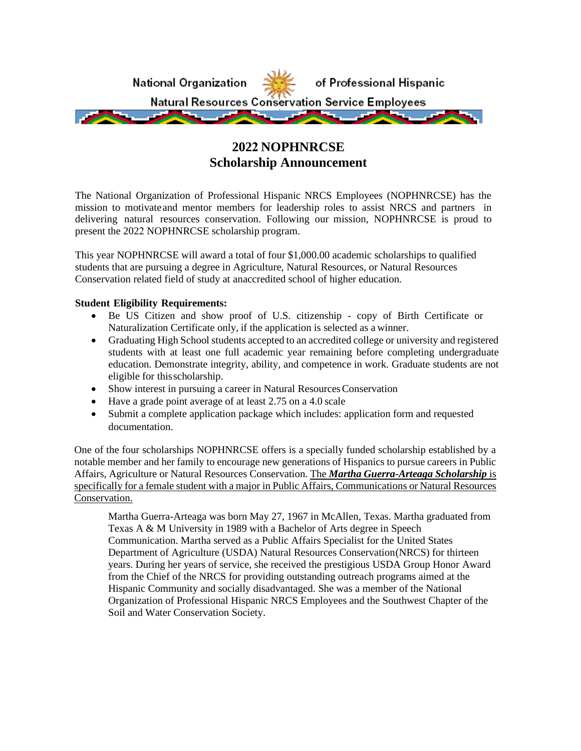

# **2022 NOPHNRCSE Scholarship Announcement**

The National Organization of Professional Hispanic NRCS Employees (NOPHNRCSE) has the mission to motivateand mentor members for leadership roles to assist NRCS and partners in delivering natural resources conservation. Following our mission, NOPHNRCSE is proud to present the 2022 NOPHNRCSE scholarship program.

This year NOPHNRCSE will award a total of four \$1,000.00 academic scholarships to qualified students that are pursuing a degree in Agriculture, Natural Resources, or Natural Resources Conservation related field of study at anaccredited school of higher education.

## **Student Eligibility Requirements:**

- Be US Citizen and show proof of U.S. citizenship copy of Birth Certificate or Naturalization Certificate only, if the application is selected as a winner.
- Graduating High School students accepted to an accredited college or university and registered students with at least one full academic year remaining before completing undergraduate education. Demonstrate integrity, ability, and competence in work. Graduate students are not eligible for thisscholarship.
- Show interest in pursuing a career in Natural Resources Conservation
- Have a grade point average of at least 2.75 on a 4.0 scale
- Submit a complete application package which includes: application form and requested documentation.

One of the four scholarships NOPHNRCSE offers is a specially funded scholarship established by a notable member and her family to encourage new generations of Hispanics to pursue careers in Public Affairs, Agriculture or Natural Resources Conservation. The *Martha Guerra-Arteaga Scholarship* is specifically for a female student with a major in Public Affairs, Communications or Natural Resources Conservation.

Martha Guerra-Arteaga was born May 27, 1967 in McAllen, Texas. Martha graduated from Texas A & M University in 1989 with a Bachelor of Arts degree in Speech Communication. Martha served as a Public Affairs Specialist for the United States Department of Agriculture (USDA) Natural Resources Conservation(NRCS) for thirteen years. During her years of service, she received the prestigious USDA Group Honor Award from the Chief of the NRCS for providing outstanding outreach programs aimed at the Hispanic Community and socially disadvantaged. She was a member of the National Organization of Professional Hispanic NRCS Employees and the Southwest Chapter of the Soil and Water Conservation Society.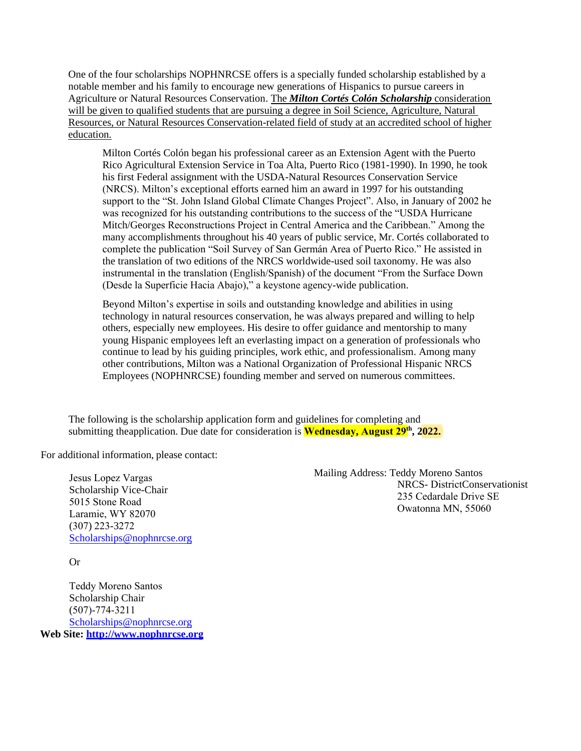One of the four scholarships NOPHNRCSE offers is a specially funded scholarship established by a notable member and his family to encourage new generations of Hispanics to pursue careers in Agriculture or Natural Resources Conservation. The *Milton Cortés Colón Scholarship* consideration will be given to qualified students that are pursuing a degree in Soil Science, Agriculture, Natural Resources, or Natural Resources Conservation-related field of study at an accredited school of higher education.

Milton Cortés Colón began his professional career as an Extension Agent with the Puerto Rico Agricultural Extension Service in Toa Alta, Puerto Rico (1981-1990). In 1990, he took his first Federal assignment with the USDA-Natural Resources Conservation Service (NRCS). Milton's exceptional efforts earned him an award in 1997 for his outstanding support to the "St. John Island Global Climate Changes Project". Also, in January of 2002 he was recognized for his outstanding contributions to the success of the "USDA Hurricane Mitch/Georges Reconstructions Project in Central America and the Caribbean." Among the many accomplishments throughout his 40 years of public service, Mr. Cortés collaborated to complete the publication "Soil Survey of San Germán Area of Puerto Rico." He assisted in the translation of two editions of the NRCS worldwide-used soil taxonomy. He was also instrumental in the translation (English/Spanish) of the document "From the Surface Down (Desde la Superficie Hacia Abajo)," a keystone agency-wide publication.

Beyond Milton's expertise in soils and outstanding knowledge and abilities in using technology in natural resources conservation, he was always prepared and willing to help others, especially new employees. His desire to offer guidance and mentorship to many young Hispanic employees left an everlasting impact on a generation of professionals who continue to lead by his guiding principles, work ethic, and professionalism. Among many other contributions, Milton was a National Organization of Professional Hispanic NRCS Employees (NOPHNRCSE) founding member and served on numerous committees.

The following is the scholarship application form and guidelines for completing and submitting the application. Due date for consideration is **Wednesday, August 29th, 2022.**

For additional information, please contact:

Jesus Lopez Vargas Scholarship Vice-Chair 5015 Stone Road [Laramie, WY 82070](mailto:Scholarships@nophnrcse.org) (307) 223-3272 Scholarships@nophnrcse.org Mailing Address: Teddy Moreno Santos NRCS- DistrictConservationist 235 Cedardale Drive SE Owatonna MN, 55060

Or

Teddy Moreno Santos [Scholarship Chair](mailto:Scholarships@nophnrcse.org)  (507)-774-3211 Scholarships@nophnrcse.org **Web Site: [http://www.nophnrcse.or](mailto:Scholarships@nophnrcse.org)g**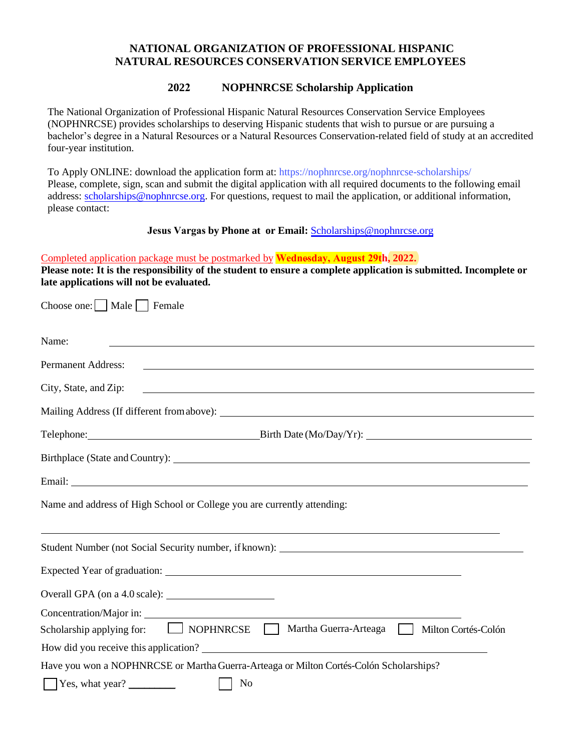## **NATIONAL ORGANIZATION OF PROFESSIONAL HISPANIC NATURAL RESOURCES CONSERVATION SERVICE EMPLOYEES**

## **2022 NOPHNRCSE Scholarship Application**

The National Organization of Professional Hispanic Natural Resources Conservation Service Employees (NOPHNRCSE) provides scholarships to deserving Hispanic students that wish to pursue or are pursuing a bachelor's degree in a Natural Resources or a Natural Resources Conservation-related field of study at an accredited four-year institution.

To Apply ONLINE: download the application form at:<https://nophnrcse.org/nophnrcse-scholarships/> [Please, complete, s](http://www.nophnrcse.org/index.php/scholarships/62-scholarshipsmain)ign, scan and submit the digital application with all required documents to the following email address: [scholarships@nophnrcse.org. Fo](mailto:scholarships@nophnrcse.org)r questions, request to mail the application, or additional information, please contact:

### **Jesus Vargas by Phone at or Email:** Sc[holarships@nophnrcse.org](mailto:Scholarships@nophnrcse.org)

## Completed application package must be postmarked by **Wednesday, August 29th, 2022.**

**Please note: It is the responsibility of the student to ensure a complete application is submitted. Incomplete or late applications will not be evaluated.** 

| Choose one:     Male     Female                                                                                                                                                                                                                               |
|---------------------------------------------------------------------------------------------------------------------------------------------------------------------------------------------------------------------------------------------------------------|
| Name:<br><u> 1989 - Johann Stoff, amerikansk politiker (d. 1989)</u>                                                                                                                                                                                          |
| <b>Permanent Address:</b>                                                                                                                                                                                                                                     |
| City, State, and Zip:<br><u> 1989 - Johann Stoff, deutscher Stoffen und der Stoffen und der Stoffen und der Stoffen und der Stoffen und der Stoffen und der Stoffen und der Stoffen und der Stoffen und der Stoffen und der Stoffen und der Stoffen und d</u> |
|                                                                                                                                                                                                                                                               |
| Telephone: Birth Date (Mo/Day/Yr):                                                                                                                                                                                                                            |
|                                                                                                                                                                                                                                                               |
|                                                                                                                                                                                                                                                               |
| Name and address of High School or College you are currently attending:                                                                                                                                                                                       |
| <u> 1989 - Johann Stoff, deutscher Stoffen und der Stoffen und der Stoffen und der Stoffen und der Stoffen und de</u>                                                                                                                                         |
|                                                                                                                                                                                                                                                               |
|                                                                                                                                                                                                                                                               |
|                                                                                                                                                                                                                                                               |
|                                                                                                                                                                                                                                                               |
| Scholarship applying for: NOPHNRCSE Martha Guerra-Arteaga Milton Cortés-Colón                                                                                                                                                                                 |
|                                                                                                                                                                                                                                                               |
| Have you won a NOPHNRCSE or Martha Guerra-Arteaga or Milton Cortés-Colón Scholarships?                                                                                                                                                                        |
| $\sqrt{\text{Yes, what year?}}$<br>N <sub>0</sub>                                                                                                                                                                                                             |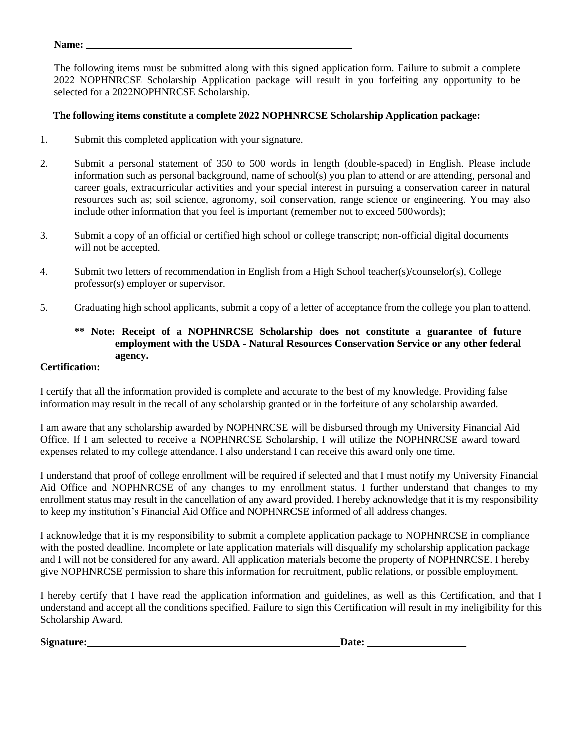#### **Name:**

The following items must be submitted along with this signed application form. Failure to submit a complete 2022 NOPHNRCSE Scholarship Application package will result in you forfeiting any opportunity to be selected for a 2022NOPHNRCSE Scholarship.

## **The following items constitute a complete 2022 NOPHNRCSE Scholarship Application package:**

- 1. Submit this completed application with your signature.
- 2. Submit a personal statement of 350 to 500 words in length (double-spaced) in English. Please include information such as personal background, name of school(s) you plan to attend or are attending, personal and career goals, extracurricular activities and your special interest in pursuing a conservation career in natural resources such as; soil science, agronomy, soil conservation, range science or engineering. You may also include other information that you feel is important (remember not to exceed 500words);
- 3. Submit a copy of an official or certified high school or college transcript; non-official digital documents will not be accepted.
- 4. Submit two letters of recommendation in English from a High School teacher(s)/counselor(s), College professor(s) employer or supervisor.
- 5. Graduating high school applicants, submit a copy of a letter of acceptance from the college you plan to attend.

## **\*\* Note: Receipt of a NOPHNRCSE Scholarship does not constitute a guarantee of future employment with the USDA - Natural Resources Conservation Service or any other federal agency.**

## **Certification:**

I certify that all the information provided is complete and accurate to the best of my knowledge. Providing false information may result in the recall of any scholarship granted or in the forfeiture of any scholarship awarded.

I am aware that any scholarship awarded by NOPHNRCSE will be disbursed through my University Financial Aid Office. If I am selected to receive a NOPHNRCSE Scholarship, I will utilize the NOPHNRCSE award toward expenses related to my college attendance. I also understand I can receive this award only one time.

I understand that proof of college enrollment will be required if selected and that I must notify my University Financial Aid Office and NOPHNRCSE of any changes to my enrollment status. I further understand that changes to my enrollment status may result in the cancellation of any award provided. I hereby acknowledge that it is my responsibility to keep my institution's Financial Aid Office and NOPHNRCSE informed of all address changes.

I acknowledge that it is my responsibility to submit a complete application package to NOPHNRCSE in compliance with the posted deadline. Incomplete or late application materials will disqualify my scholarship application package and I will not be considered for any award. All application materials become the property of NOPHNRCSE. I hereby give NOPHNRCSE permission to share this information for recruitment, public relations, or possible employment.

I hereby certify that I have read the application information and guidelines, as well as this Certification, and that I understand and accept all the conditions specified. Failure to sign this Certification will result in my ineligibility for this Scholarship Award.

Signature: **Date: Date: Date: Date: Date: Date: Date: Date: Date: Date: Date: Date: Date: Date: Date: Date: Date: Date: Date: Date: Date: Date: Date: Date: Date: Date: Da**